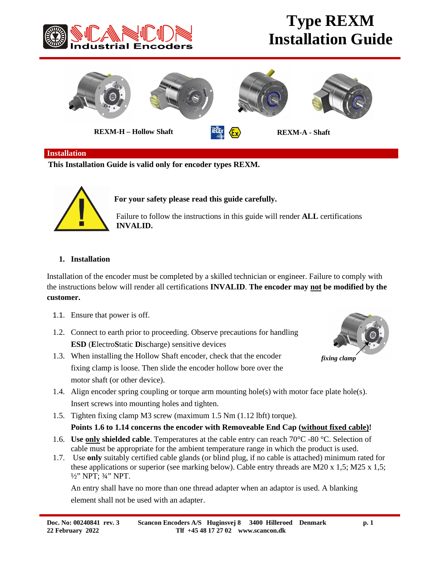

## **Type REXM Installation Guide**



#### **Installation**

**This Installation Guide is valid only for encoder types REXM.**



 **For your safety please read this guide carefully.**

 Failure to follow the instructions in this guide will render **ALL** certifications **INVALID.**

### **1. Installation**

Installation of the encoder must be completed by a skilled technician or engineer. Failure to comply with the instructions below will render all certifications **INVALID**. **The encoder may not be modified by the customer.**

- 1.1. Ensure that power is off.
- 1.2. Connect to earth prior to proceeding. Observe precautions for handling **ESD** (**E**lectro**S**tatic **D**ischarge) sensitive devices
- 1.3. When installing the Hollow Shaft encoder, check that the encoder fixing clamp is loose. Then slide the encoder hollow bore over the motor shaft (or other device).



*fixing clamp*

- 1.4. Align encoder spring coupling or torque arm mounting hole(s) with motor face plate hole(s). Insert screws into mounting holes and tighten.
- 1.5. Tighten fixing clamp M3 screw (maximum 1.5 Nm (1.12 lbft) torque).

### **Points 1.6 to 1.14 concerns the encoder with Removeable End Cap (without fixed cable)!**

- 1.6. **Use only shielded cable**. Temperatures at the cable entry can reach 70°C -80 °C. Selection of cable must be appropriate for the ambient temperature range in which the product is used.
- 1.7. Use **only** suitably certified cable glands (or blind plug, if no cable is attached) minimum rated for these applications or superior (see marking below). Cable entry threads are M20 x 1,5; M25 x 1,5; ½" NPT; ¾" NPT.

An entry shall have no more than one thread adapter when an adaptor is used. A blanking element shall not be used with an adapter.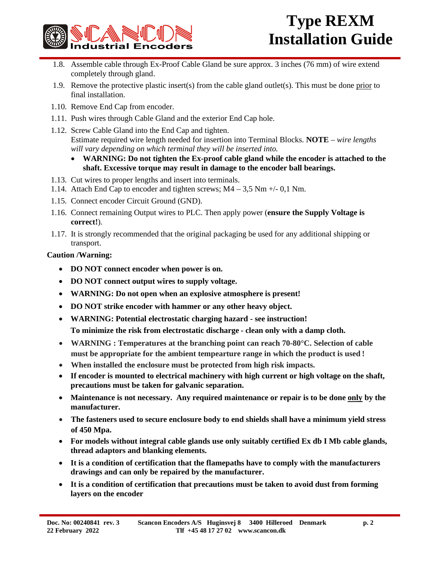

- 1.8. Assemble cable through Ex-Proof Cable Gland be sure approx. 3 inches (76 mm) of wire extend completely through gland.
- 1.9. Remove the protective plastic insert(s) from the cable gland outlet(s). This must be done prior to final installation.
- 1.10. Remove End Cap from encoder.
- 1.11. Push wires through Cable Gland and the exterior End Cap hole.
- 1.12. Screw Cable Gland into the End Cap and tighten.

Estimate required wire length needed for insertion into Terminal Blocks. **NOTE** – *wire lengths will vary depending on which terminal they will be inserted into.*

- · **WARNING: Do not tighten the Ex-proof cable gland while the encoder is attached to the shaft. Excessive torque may result in damage to the encoder ball bearings.**
- 1.13. Cut wires to proper lengths and insert into terminals.
- 1.14. Attach End Cap to encoder and tighten screws; M4 3,5 Nm +/- 0,1 Nm.
- 1.15. Connect encoder Circuit Ground (GND).
- 1.16. Connect remaining Output wires to PLC. Then apply power (**ensure the Supply Voltage is correct!**).
- 1.17. It is strongly recommended that the original packaging be used for any additional shipping or transport.

### **Caution /Warning:**

- · **DO NOT connect encoder when power is on.**
- · **DO NOT connect output wires to supply voltage.**
- · **WARNING: Do not open when an explosive atmosphere is present!**
- · **DO NOT strike encoder with hammer or any other heavy object.**
- · **WARNING: Potential electrostatic charging hazard - see instruction! To minimize the risk from electrostatic discharge - clean only with a damp cloth.**
- · **WARNING : Temperatures at the branching point can reach 70-80°C. Selection of cable must be appropriate for the ambient tempearture range in which the product is used !**
- · **When installed the enclosure must be protected from high risk impacts.**
- · **If encoder is mounted to electrical machinery with high current or high voltage on the shaft, precautions must be taken for galvanic separation.**
- · **Maintenance is not necessary. Any required maintenance or repair is to be done only by the manufacturer.**
- · **The fasteners used to secure enclosure body to end shields shall have a minimum yield stress of 450 Mpa.**
- · **For models without integral cable glands use only suitably certified Ex db I Mb cable glands, thread adaptors and blanking elements.**
- · **It is a condition of certification that the flamepaths have to comply with the manufacturers drawings and can only be repaired by the manufacturer.**
- · **It is a condition of certification that precautions must be taken to avoid dust from forming layers on the encoder**